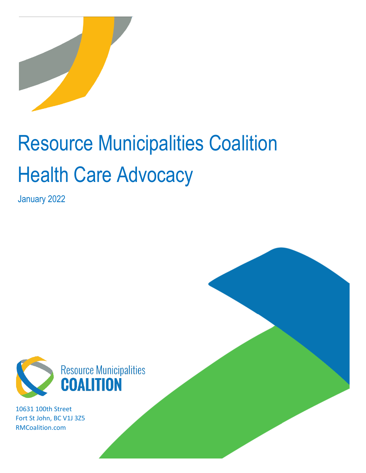

# Resource Municipalities Coalition Health Care Advocacy

January 2022



10631 100th Street Fort St John, BC V1J 3Z5 RMCoalition.com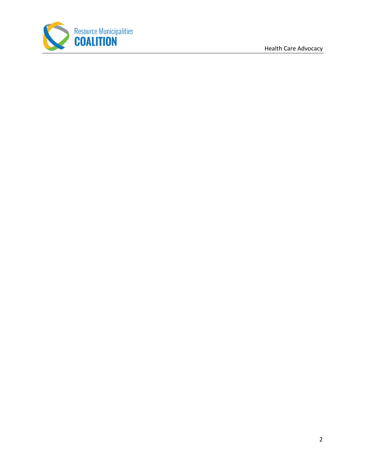

Health Care Advocacy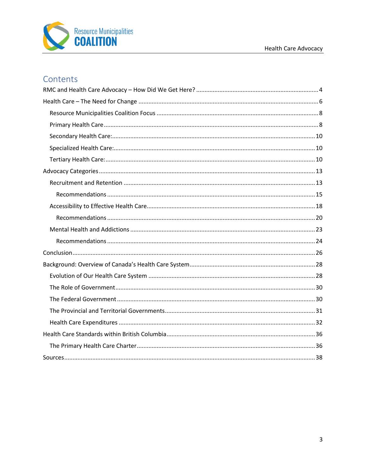

# Contents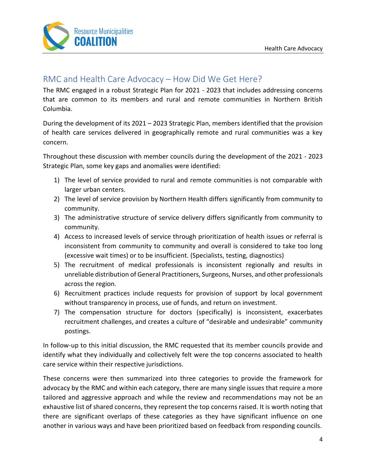

# <span id="page-3-0"></span>RMC and Health Care Advocacy – How Did We Get Here?

The RMC engaged in a robust Strategic Plan for 2021 - 2023 that includes addressing concerns that are common to its members and rural and remote communities in Northern British Columbia.

During the development of its 2021 – 2023 Strategic Plan, members identified that the provision of health care services delivered in geographically remote and rural communities was a key concern.

Throughout these discussion with member councils during the development of the 2021 - 2023 Strategic Plan, some key gaps and anomalies were identified:

- 1) The level of service provided to rural and remote communities is not comparable with larger urban centers.
- 2) The level of service provision by Northern Health differs significantly from community to community.
- 3) The administrative structure of service delivery differs significantly from community to community.
- 4) Access to increased levels of service through prioritization of health issues or referral is inconsistent from community to community and overall is considered to take too long (excessive wait times) or to be insufficient. (Specialists, testing, diagnostics)
- 5) The recruitment of medical professionals is inconsistent regionally and results in unreliable distribution of General Practitioners, Surgeons, Nurses, and other professionals across the region.
- 6) Recruitment practices include requests for provision of support by local government without transparency in process, use of funds, and return on investment.
- 7) The compensation structure for doctors (specifically) is inconsistent, exacerbates recruitment challenges, and creates a culture of "desirable and undesirable" community postings.

In follow-up to this initial discussion, the RMC requested that its member councils provide and identify what they individually and collectively felt were the top concerns associated to health care service within their respective jurisdictions.

These concerns were then summarized into three categories to provide the framework for advocacy by the RMC and within each category, there are many single issues that require a more tailored and aggressive approach and while the review and recommendations may not be an exhaustive list of shared concerns, they represent the top concerns raised. It is worth noting that there are significant overlaps of these categories as they have significant influence on one another in various ways and have been prioritized based on feedback from responding councils.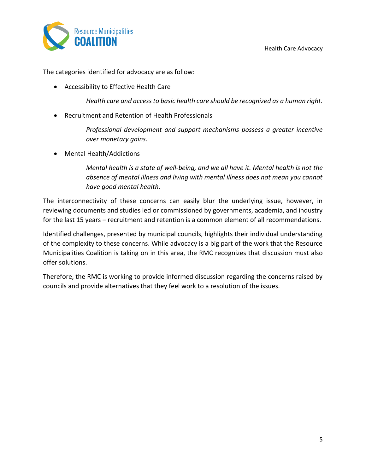

The categories identified for advocacy are as follow:

• Accessibility to Effective Health Care

*Health care and access to basic health care should be recognized as a human right.*

• Recruitment and Retention of Health Professionals

*Professional development and support mechanisms possess a greater incentive over monetary gains.*

• Mental Health/Addictions

*Mental health is a state of well-being, and we all have it. Mental health is not the absence of mental illness and living with mental illness does not mean you cannot have good mental health.*

The interconnectivity of these concerns can easily blur the underlying issue, however, in reviewing documents and studies led or commissioned by governments, academia, and industry for the last 15 years – recruitment and retention is a common element of all recommendations.

Identified challenges, presented by municipal councils, highlights their individual understanding of the complexity to these concerns. While advocacy is a big part of the work that the Resource Municipalities Coalition is taking on in this area, the RMC recognizes that discussion must also offer solutions.

Therefore, the RMC is working to provide informed discussion regarding the concerns raised by councils and provide alternatives that they feel work to a resolution of the issues.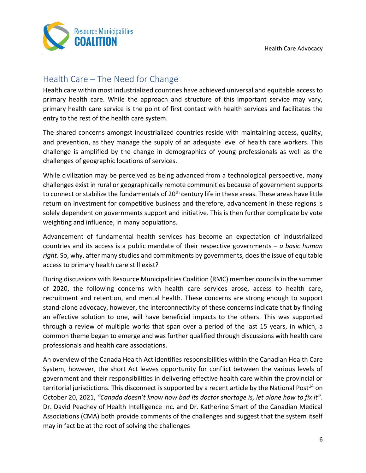

# <span id="page-5-0"></span>Health Care – The Need for Change

Health care within most industrialized countries have achieved universal and equitable access to primary health care. While the approach and structure of this important service may vary, primary health care service is the point of first contact with health services and facilitates the entry to the rest of the health care system.

The shared concerns amongst industrialized countries reside with maintaining access, quality, and prevention, as they manage the supply of an adequate level of health care workers. This challenge is amplified by the change in demographics of young professionals as well as the challenges of geographic locations of services.

While civilization may be perceived as being advanced from a technological perspective, many challenges exist in rural or geographically remote communities because of government supports to connect or stabilize the fundamentals of 20<sup>th</sup> century life in these areas. These areas have little return on investment for competitive business and therefore, advancement in these regions is solely dependent on governments support and initiative. This is then further complicate by vote weighting and influence, in many populations.

Advancement of fundamental health services has become an expectation of industrialized countries and its access is a public mandate of their respective governments – *a basic human right*. So, why, after many studies and commitments by governments, does the issue of equitable access to primary health care still exist?

During discussions with Resource Municipalities Coalition (RMC) member councils in the summer of 2020, the following concerns with health care services arose, access to health care, recruitment and retention, and mental health. These concerns are strong enough to support stand-alone advocacy, however, the interconnectivity of these concerns indicate that by finding an effective solution to one, will have beneficial impacts to the others. This was supported through a review of multiple works that span over a period of the last 15 years, in which, a common theme began to emerge and was further qualified through discussions with health care professionals and health care associations.

An overview of the Canada Health Act identifies responsibilities within the Canadian Health Care System, however, the short Act leaves opportunity for conflict between the various levels of government and their responsibilities in delivering effective health care within the provincial or territorial jurisdictions. This disconnect is supported by a recent article by the National Post<sup>14</sup> on October 20, 2021, *"Canada doesn't know how bad its doctor shortage is, let alone how to fix it"*. Dr. David Peachey of Health Intelligence Inc. and Dr. Katherine Smart of the Canadian Medical Associations (CMA) both provide comments of the challenges and suggest that the system itself may in fact be at the root of solving the challenges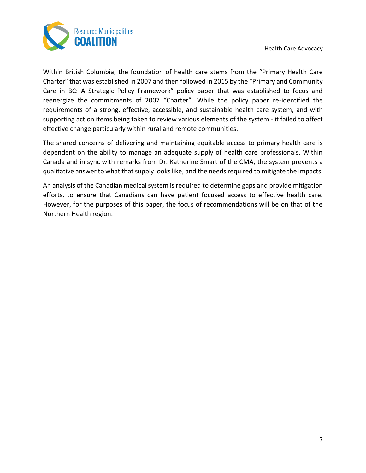

Within British Columbia, the foundation of health care stems from the "Primary Health Care Charter" that was established in 2007 and then followed in 2015 by the "Primary and Community Care in BC: A Strategic Policy Framework" policy paper that was established to focus and reenergize the commitments of 2007 "Charter". While the policy paper re-identified the requirements of a strong, effective, accessible, and sustainable health care system, and with supporting action items being taken to review various elements of the system - it failed to affect effective change particularly within rural and remote communities.

The shared concerns of delivering and maintaining equitable access to primary health care is dependent on the ability to manage an adequate supply of health care professionals. Within Canada and in sync with remarks from Dr. Katherine Smart of the CMA, the system prevents a qualitative answer to what that supply looks like, and the needs required to mitigate the impacts.

An analysis of the Canadian medical system is required to determine gaps and provide mitigation efforts, to ensure that Canadians can have patient focused access to effective health care. However, for the purposes of this paper, the focus of recommendations will be on that of the Northern Health region.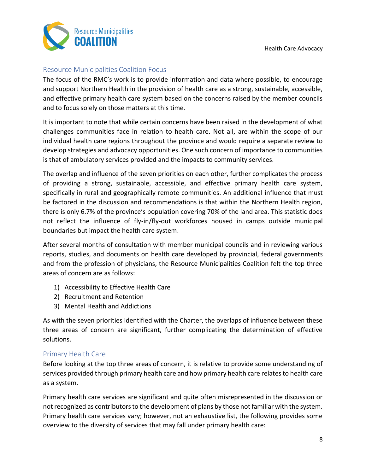

# <span id="page-7-0"></span>Resource Municipalities Coalition Focus

The focus of the RMC's work is to provide information and data where possible, to encourage and support Northern Health in the provision of health care as a strong, sustainable, accessible, and effective primary health care system based on the concerns raised by the member councils and to focus solely on those matters at this time.

It is important to note that while certain concerns have been raised in the development of what challenges communities face in relation to health care. Not all, are within the scope of our individual health care regions throughout the province and would require a separate review to develop strategies and advocacy opportunities. One such concern of importance to communities is that of ambulatory services provided and the impacts to community services.

The overlap and influence of the seven priorities on each other, further complicates the process of providing a strong, sustainable, accessible, and effective primary health care system, specifically in rural and geographically remote communities. An additional influence that must be factored in the discussion and recommendations is that within the Northern Health region, there is only 6.7% of the province's population covering 70% of the land area. This statistic does not reflect the influence of fly-in/fly-out workforces housed in camps outside municipal boundaries but impact the health care system.

After several months of consultation with member municipal councils and in reviewing various reports, studies, and documents on health care developed by provincial, federal governments and from the profession of physicians, the Resource Municipalities Coalition felt the top three areas of concern are as follows:

- 1) Accessibility to Effective Health Care
- 2) Recruitment and Retention
- 3) Mental Health and Addictions

As with the seven priorities identified with the Charter, the overlaps of influence between these three areas of concern are significant, further complicating the determination of effective solutions.

## <span id="page-7-1"></span>Primary Health Care

Before looking at the top three areas of concern, it is relative to provide some understanding of services provided through primary health care and how primary health care relates to health care as a system.

Primary health care services are significant and quite often misrepresented in the discussion or not recognized as contributors to the development of plans by those not familiar with the system. Primary health care services vary; however, not an exhaustive list, the following provides some overview to the diversity of services that may fall under primary health care: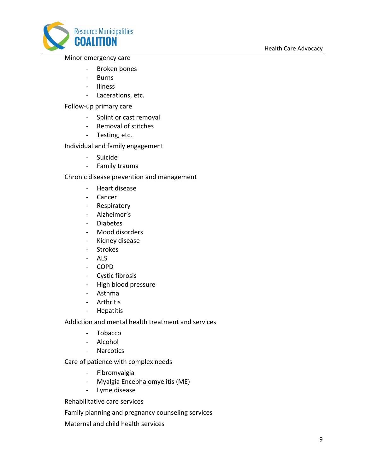#### Minor emergency care

- Broken bones
- Burns
- Illness
- Lacerations, etc.

Follow-up primary care

- Splint or cast removal
- Removal of stitches
- Testing, etc.

Individual and family engagement

- Suicide
- Family trauma

Chronic disease prevention and management

- Heart disease
- Cancer
- Respiratory
- Alzheimer's
- Diabetes
- Mood disorders
- Kidney disease
- Strokes
- ALS
- COPD
- Cystic fibrosis
- High blood pressure
- Asthma
- Arthritis
- Hepatitis

Addiction and mental health treatment and services

- Tobacco
- Alcohol
- Narcotics

Care of patience with complex needs

- Fibromyalgia
- Myalgia Encephalomyelitis (ME)
- Lyme disease

Rehabilitative care services

Family planning and pregnancy counseling services

Maternal and child health services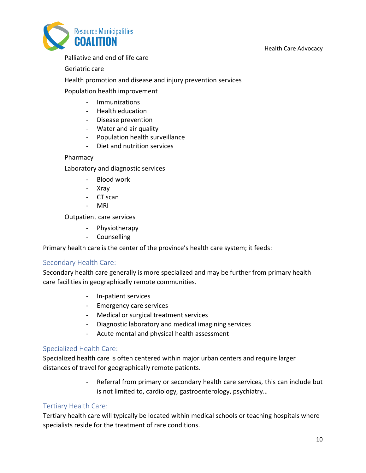

Palliative and end of life care

Geriatric care

Health promotion and disease and injury prevention services

Population health improvement

- Immunizations
- Health education
- Disease prevention
- Water and air quality
- Population health surveillance
- Diet and nutrition services

#### Pharmacy

Laboratory and diagnostic services

- Blood work
- Xray
- CT scan
- MRI

Outpatient care services

- **Physiotherapy**
- Counselling

Primary health care is the center of the province's health care system; it feeds:

#### <span id="page-9-0"></span>Secondary Health Care:

Secondary health care generally is more specialized and may be further from primary health care facilities in geographically remote communities.

- In-patient services
- Emergency care services
- Medical or surgical treatment services
- Diagnostic laboratory and medical imagining services
- Acute mental and physical health assessment

#### <span id="page-9-1"></span>Specialized Health Care:

Specialized health care is often centered within major urban centers and require larger distances of travel for geographically remote patients.

> - Referral from primary or secondary health care services, this can include but is not limited to, cardiology, gastroenterology, psychiatry…

#### <span id="page-9-2"></span>Tertiary Health Care:

Tertiary health care will typically be located within medical schools or teaching hospitals where specialists reside for the treatment of rare conditions.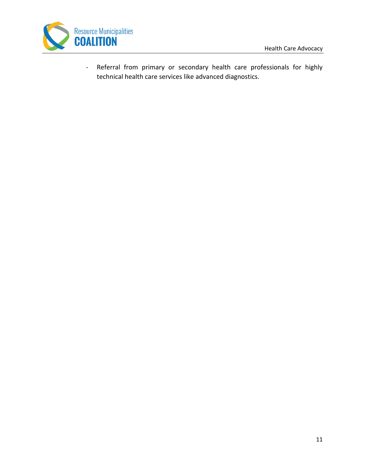

- Referral from primary or secondary health care professionals for highly technical health care services like advanced diagnostics.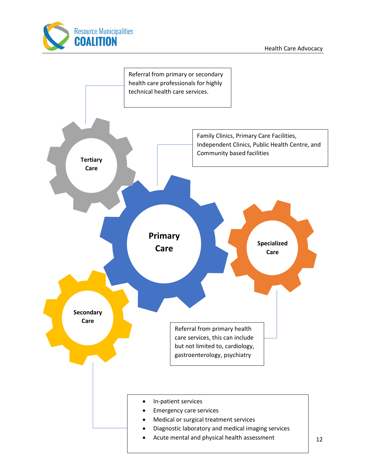

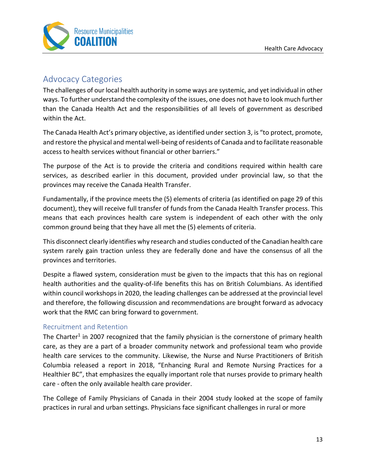

# <span id="page-12-0"></span>Advocacy Categories

The challenges of our local health authority in some ways are systemic, and yet individual in other ways. To further understand the complexity of the issues, one does not have to look much further than the Canada Health Act and the responsibilities of all levels of government as described within the Act.

The Canada Health Act's primary objective, as identified under section 3, is "to protect, promote, and restore the physical and mental well-being of residents of Canada and to facilitate reasonable access to health services without financial or other barriers."

The purpose of the Act is to provide the criteria and conditions required within health care services, as described earlier in this document, provided under provincial law, so that the provinces may receive the Canada Health Transfer.

Fundamentally, if the province meets the (5) elements of criteria (as identified on page 29 of this document), they will receive full transfer of funds from the Canada Health Transfer process. This means that each provinces health care system is independent of each other with the only common ground being that they have all met the (5) elements of criteria.

This disconnect clearly identifies why research and studies conducted of the Canadian health care system rarely gain traction unless they are federally done and have the consensus of all the provinces and territories.

Despite a flawed system, consideration must be given to the impacts that this has on regional health authorities and the quality-of-life benefits this has on British Columbians. As identified within council workshops in 2020, the leading challenges can be addressed at the provincial level and therefore, the following discussion and recommendations are brought forward as advocacy work that the RMC can bring forward to government.

## <span id="page-12-1"></span>Recruitment and Retention

The Charter<sup>1</sup> in 2007 recognized that the family physician is the cornerstone of primary health care, as they are a part of a broader community network and professional team who provide health care services to the community. Likewise, the Nurse and Nurse Practitioners of British Columbia released a report in 2018, "Enhancing Rural and Remote Nursing Practices for a Healthier BC", that emphasizes the equally important role that nurses provide to primary health care - often the only available health care provider.

The College of Family Physicians of Canada in their 2004 study looked at the scope of family practices in rural and urban settings. Physicians face significant challenges in rural or more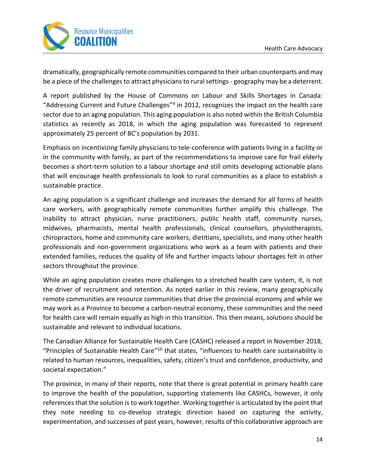

dramatically, geographically remote communities compared to their urban counterparts and may be a piece of the challenges to attract physicians to rural settings - geography may be a deterrent.

A report published by the House of Commons on Labour and Skills Shortages in Canada: "Addressing Current and Future Challenges"<sup>9</sup> in 2012, recognizes the impact on the health care sector due to an aging population. This aging population is also noted within the British Columbia statistics as recently as 2018, in which the aging population was forecasted to represent approximately 25 percent of BC's population by 2031.

Emphasis on incentivizing family physicians to tele-conference with patients living in a facility or in the community with family, as part of the recommendations to improve care for frail elderly becomes a short-term solution to a labour shortage and still omits developing actionable plans that will encourage health professionals to look to rural communities as a place to establish a sustainable practice.

An aging population is a significant challenge and increases the demand for all forms of health care workers, with geographically remote communities further amplify this challenge. The inability to attract physician, nurse practitioners, public health staff, community nurses, midwives, pharmacists, mental health professionals, clinical counsellors, physiotherapists, chiropractors, home and community care workers, dietitians, specialists, and many other health professionals and non-government organizations who work as a team with patients and their extended families, reduces the quality of life and further impacts labour shortages felt in other sectors throughout the province.

While an aging population creates more challenges to a stretched health care system, it, is not the driver of recruitment and retention. As noted earlier in this review, many geographically remote communities are resource communities that drive the provincial economy and while we may work as a Province to become a carbon-neutral economy, these communities and the need for health care will remain equally as high in this transition. This then means, solutions should be sustainable and relevant to individual locations.

The Canadian Alliance for Sustainable Health Care (CASHC) released a report in November 2018, "Principles of Sustainable Health Care"<sup>10</sup> that states, "influences to health care sustainability is related to human resources, inequalities, safety, citizen's trust and confidence, productivity, and societal expectation."

The province, in many of their reports, note that there is great potential in primary health care to improve the health of the population, supporting statements like CASHCs, however, it only references that the solution is to work together. Working together is articulated by the point that they note needing to co-develop strategic direction based on capturing the activity, experimentation, and successes of past years, however, results of this collaborative approach are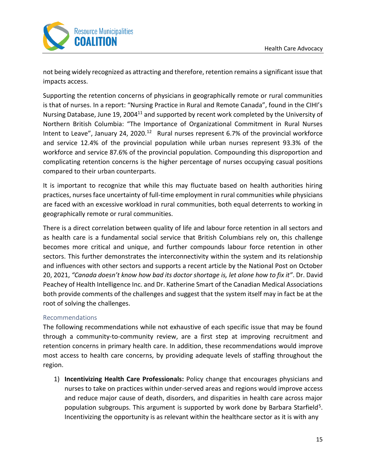

not being widely recognized as attracting and therefore, retention remains a significant issue that impacts access.

Supporting the retention concerns of physicians in geographically remote or rural communities is that of nurses. In a report: "Nursing Practice in Rural and Remote Canada", found in the CIHI's Nursing Database, June 19, 2004<sup>11</sup> and supported by recent work completed by the University of Northern British Columbia: "The Importance of Organizational Commitment in Rural Nurses Intent to Leave", January 24, 2020.<sup>12</sup> Rural nurses represent 6.7% of the provincial workforce and service 12.4% of the provincial population while urban nurses represent 93.3% of the workforce and service 87.6% of the provincial population. Compounding this disproportion and complicating retention concerns is the higher percentage of nurses occupying casual positions compared to their urban counterparts.

It is important to recognize that while this may fluctuate based on health authorities hiring practices, nurses face uncertainty of full-time employment in rural communities while physicians are faced with an excessive workload in rural communities, both equal deterrents to working in geographically remote or rural communities.

There is a direct correlation between quality of life and labour force retention in all sectors and as health care is a fundamental social service that British Columbians rely on, this challenge becomes more critical and unique, and further compounds labour force retention in other sectors. This further demonstrates the interconnectivity within the system and its relationship and influences with other sectors and supports a recent article by the National Post on October 20, 2021, *"Canada doesn't know how bad its doctor shortage is, let alone how to fix it"*. Dr. David Peachey of Health Intelligence Inc. and Dr. Katherine Smart of the Canadian Medical Associations both provide comments of the challenges and suggest that the system itself may in fact be at the root of solving the challenges.

#### <span id="page-14-0"></span>Recommendations

The following recommendations while not exhaustive of each specific issue that may be found through a community-to-community review, are a first step at improving recruitment and retention concerns in primary health care. In addition, these recommendations would improve most access to health care concerns, by providing adequate levels of staffing throughout the region.

1) **Incentivizing Health Care Professionals:** Policy change that encourages physicians and nurses to take on practices within under-served areas and regions would improve access and reduce major cause of death, disorders, and disparities in health care across major population subgroups. This argument is supported by work done by Barbara Starfield<sup>5</sup>. Incentivizing the opportunity is as relevant within the healthcare sector as it is with any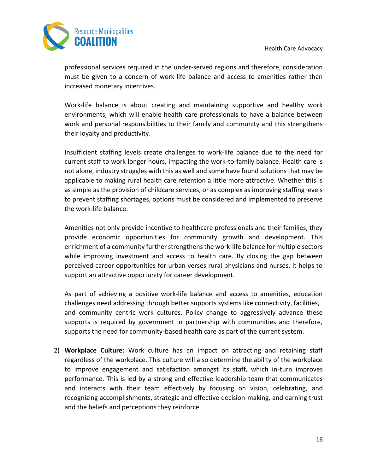

professional services required in the under-served regions and therefore, consideration must be given to a concern of work-life balance and access to amenities rather than increased monetary incentives.

Work-life balance is about creating and maintaining supportive and healthy work environments, which will enable health care professionals to have a balance between work and personal responsibilities to their family and community and this strengthens their loyalty and productivity.

Insufficient staffing levels create challenges to work-life balance due to the need for current staff to work longer hours, impacting the work-to-family balance. Health care is not alone, industry struggles with this as well and some have found solutions that may be applicable to making rural health care retention a little more attractive. Whether this is as simple as the provision of childcare services, or as complex as improving staffing levels to prevent staffing shortages, options must be considered and implemented to preserve the work-life balance.

Amenities not only provide incentive to healthcare professionals and their families, they provide economic opportunities for community growth and development. This enrichment of a community further strengthens the work-life balance for multiple sectors while improving investment and access to health care. By closing the gap between perceived career opportunities for urban verses rural physicians and nurses, it helps to support an attractive opportunity for career development.

As part of achieving a positive work-life balance and access to amenities, education challenges need addressing through better supports systems like connectivity, facilities, and community centric work cultures. Policy change to aggressively advance these supports is required by government in partnership with communities and therefore, supports the need for community-based health care as part of the current system.

2) **Workplace Culture:** Work culture has an impact on attracting and retaining staff regardless of the workplace. This culture will also determine the ability of the workplace to improve engagement and satisfaction amongst its staff, which in-turn improves performance. This is led by a strong and effective leadership team that communicates and interacts with their team effectively by focusing on vision, celebrating, and recognizing accomplishments, strategic and effective decision-making, and earning trust and the beliefs and perceptions they reinforce.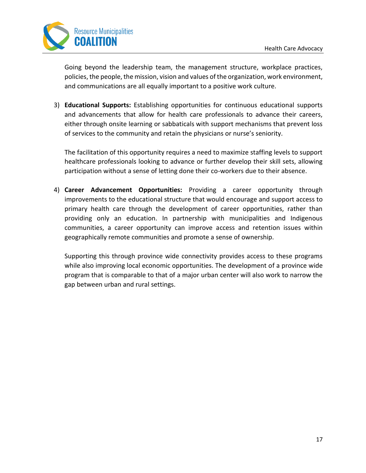

Going beyond the leadership team, the management structure, workplace practices, policies, the people, the mission, vision and values of the organization, work environment, and communications are all equally important to a positive work culture.

3) **Educational Supports:** Establishing opportunities for continuous educational supports and advancements that allow for health care professionals to advance their careers, either through onsite learning or sabbaticals with support mechanisms that prevent loss of services to the community and retain the physicians or nurse's seniority.

The facilitation of this opportunity requires a need to maximize staffing levels to support healthcare professionals looking to advance or further develop their skill sets, allowing participation without a sense of letting done their co-workers due to their absence.

4) **Career Advancement Opportunities:** Providing a career opportunity through improvements to the educational structure that would encourage and support access to primary health care through the development of career opportunities, rather than providing only an education. In partnership with municipalities and Indigenous communities, a career opportunity can improve access and retention issues within geographically remote communities and promote a sense of ownership.

Supporting this through province wide connectivity provides access to these programs while also improving local economic opportunities. The development of a province wide program that is comparable to that of a major urban center will also work to narrow the gap between urban and rural settings.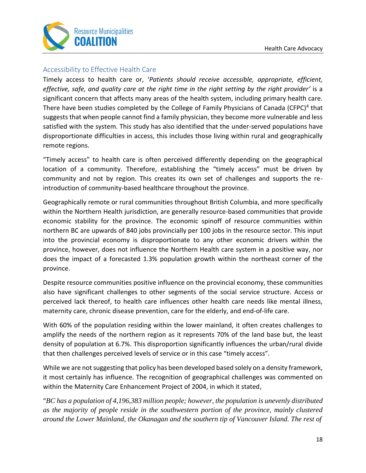

# <span id="page-17-0"></span>Accessibility to Effective Health Care

Timely access to health care or, '*Patients should receive accessible, appropriate, efficient, effective, safe, and quality care at the right time in the right setting by the right provider'* is a significant concern that affects many areas of the health system, including primary health care. There have been studies completed by the College of Family Physicians of Canada (CFPC)<sup>4</sup> that suggests that when people cannot find a family physician, they become more vulnerable and less satisfied with the system. This study has also identified that the under-served populations have disproportionate difficulties in access, this includes those living within rural and geographically remote regions.

"Timely access" to health care is often perceived differently depending on the geographical location of a community. Therefore, establishing the "timely access" must be driven by community and not by region. This creates its own set of challenges and supports the reintroduction of community-based healthcare throughout the province.

Geographically remote or rural communities throughout British Columbia, and more specifically within the Northern Health jurisdiction, are generally resource-based communities that provide economic stability for the province. The economic spinoff of resource communities within northern BC are upwards of 840 jobs provincially per 100 jobs in the resource sector. This input into the provincial economy is disproportionate to any other economic drivers within the province, however, does not influence the Northern Health care system in a positive way, nor does the impact of a forecasted 1.3% population growth within the northeast corner of the province.

Despite resource communities positive influence on the provincial economy, these communities also have significant challenges to other segments of the social service structure. Access or perceived lack thereof, to health care influences other health care needs like mental illness, maternity care, chronic disease prevention, care for the elderly, and end-of-life care.

With 60% of the population residing within the lower mainland, it often creates challenges to amplify the needs of the northern region as it represents 70% of the land base but, the least density of population at 6.7%. This disproportion significantly influences the urban/rural divide that then challenges perceived levels of service or in this case "timely access".

While we are not suggesting that policy has been developed based solely on a density framework, it most certainly has influence. The recognition of geographical challenges was commented on within the Maternity Care Enhancement Project of 2004, in which it stated,

"*BC has a population of 4,196,383 million people; however, the population is unevenly distributed as the majority of people reside in the southwestern portion of the province, mainly clustered around the Lower Mainland, the Okanagan and the southern tip of Vancouver Island. The rest of*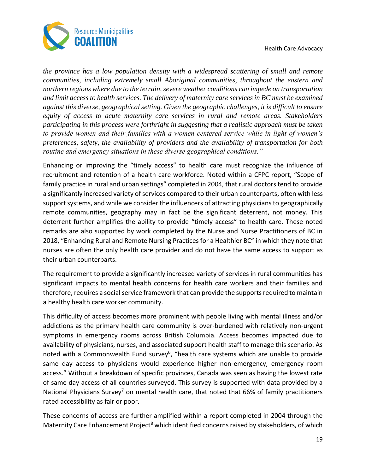

*the province has a low population density with a widespread scattering of small and remote communities, including extremely small Aboriginal communities, throughout the eastern and northern regions where due to the terrain, severe weather conditions can impede on transportation and limit access to health services. The delivery of maternity care services in BC must be examined against this diverse, geographical setting. Given the geographic challenges, it is difficult to ensure equity of access to acute maternity care services in rural and remote areas. Stakeholders participating in this process were forthright in suggesting that a realistic approach must be taken to provide women and their families with a women centered service while in light of women's preferences, safety, the availability of providers and the availability of transportation for both routine and emergency situations in these diverse geographical conditions."*

Enhancing or improving the "timely access" to health care must recognize the influence of recruitment and retention of a health care workforce. Noted within a CFPC report, "Scope of family practice in rural and urban settings" completed in 2004, that rural doctors tend to provide a significantly increased variety of services compared to their urban counterparts, often with less support systems, and while we consider the influencers of attracting physicians to geographically remote communities, geography may in fact be the significant deterrent, not money. This deterrent further amplifies the ability to provide "timely access" to health care. These noted remarks are also supported by work completed by the Nurse and Nurse Practitioners of BC in 2018, "Enhancing Rural and Remote Nursing Practices for a Healthier BC" in which they note that nurses are often the only health care provider and do not have the same access to support as their urban counterparts.

The requirement to provide a significantly increased variety of services in rural communities has significant impacts to mental health concerns for health care workers and their families and therefore, requires a social service framework that can provide the supports required to maintain a healthy health care worker community.

This difficulty of access becomes more prominent with people living with mental illness and/or addictions as the primary health care community is over-burdened with relatively non-urgent symptoms in emergency rooms across British Columbia. Access becomes impacted due to availability of physicians, nurses, and associated support health staff to manage this scenario. As noted with a Commonwealth Fund survey<sup>6</sup>, "health care systems which are unable to provide same day access to physicians would experience higher non-emergency, emergency room access." Without a breakdown of specific provinces, Canada was seen as having the lowest rate of same day access of all countries surveyed. This survey is supported with data provided by a National Physicians Survey<sup>7</sup> on mental health care, that noted that 66% of family practitioners rated accessibility as fair or poor.

These concerns of access are further amplified within a report completed in 2004 through the Maternity Care Enhancement Project<sup>8</sup> which identified concerns raised by stakeholders, of which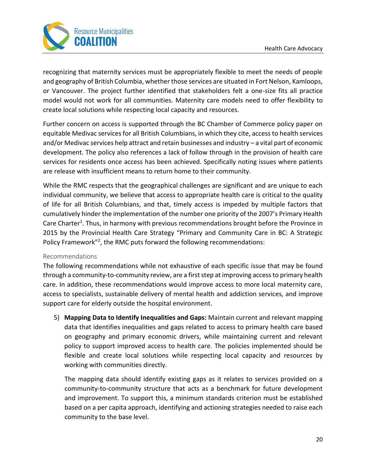

recognizing that maternity services must be appropriately flexible to meet the needs of people and geography of British Columbia, whether those services are situated in Fort Nelson, Kamloops, or Vancouver. The project further identified that stakeholders felt a one-size fits all practice model would not work for all communities. Maternity care models need to offer flexibility to create local solutions while respecting local capacity and resources.

Further concern on access is supported through the BC Chamber of Commerce policy paper on equitable Medivac services for all British Columbians, in which they cite, access to health services and/or Medivac services help attract and retain businesses and industry – a vital part of economic development. The policy also references a lack of follow through in the provision of health care services for residents once access has been achieved. Specifically noting issues where patients are release with insufficient means to return home to their community.

While the RMC respects that the geographical challenges are significant and are unique to each individual community, we believe that access to appropriate health care is critical to the quality of life for all British Columbians, and that, timely access is impeded by multiple factors that cumulatively hinder the implementation of the number one priority of the 2007's Primary Health Care Charter<sup>1</sup>. Thus, in harmony with previous recommendations brought before the Province in 2015 by the Provincial Health Care Strategy "Primary and Community Care in BC: A Strategic Policy Framework"<sup>2</sup>, the RMC puts forward the following recommendations:

#### <span id="page-19-0"></span>Recommendations

The following recommendations while not exhaustive of each specific issue that may be found through a community-to-community review, are a first step at improving access to primary health care. In addition, these recommendations would improve access to more local maternity care, access to specialists, sustainable delivery of mental health and addiction services, and improve support care for elderly outside the hospital environment.

5) **Mapping Data to Identify Inequalities and Gaps:** Maintain current and relevant mapping data that identifies inequalities and gaps related to access to primary health care based on geography and primary economic drivers, while maintaining current and relevant policy to support improved access to health care. The policies implemented should be flexible and create local solutions while respecting local capacity and resources by working with communities directly.

The mapping data should identify existing gaps as it relates to services provided on a community-to-community structure that acts as a benchmark for future development and improvement. To support this, a minimum standards criterion must be established based on a per capita approach, identifying and actioning strategies needed to raise each community to the base level.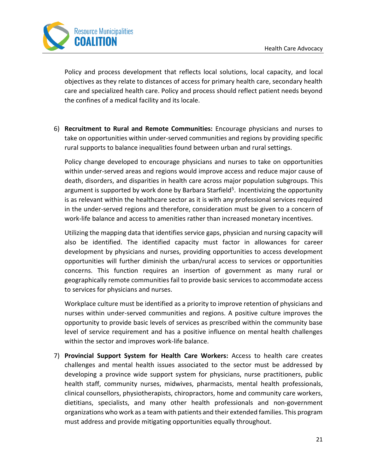

Policy and process development that reflects local solutions, local capacity, and local objectives as they relate to distances of access for primary health care, secondary health care and specialized health care. Policy and process should reflect patient needs beyond the confines of a medical facility and its locale.

6) **Recruitment to Rural and Remote Communities:** Encourage physicians and nurses to take on opportunities within under-served communities and regions by providing specific rural supports to balance inequalities found between urban and rural settings.

Policy change developed to encourage physicians and nurses to take on opportunities within under-served areas and regions would improve access and reduce major cause of death, disorders, and disparities in health care across major population subgroups. This argument is supported by work done by Barbara Starfield<sup>5</sup>. Incentivizing the opportunity is as relevant within the healthcare sector as it is with any professional services required in the under-served regions and therefore, consideration must be given to a concern of work-life balance and access to amenities rather than increased monetary incentives.

Utilizing the mapping data that identifies service gaps, physician and nursing capacity will also be identified. The identified capacity must factor in allowances for career development by physicians and nurses, providing opportunities to access development opportunities will further diminish the urban/rural access to services or opportunities concerns. This function requires an insertion of government as many rural or geographically remote communities fail to provide basic services to accommodate access to services for physicians and nurses.

Workplace culture must be identified as a priority to improve retention of physicians and nurses within under-served communities and regions. A positive culture improves the opportunity to provide basic levels of services as prescribed within the community base level of service requirement and has a positive influence on mental health challenges within the sector and improves work-life balance.

7) **Provincial Support System for Health Care Workers:** Access to health care creates challenges and mental health issues associated to the sector must be addressed by developing a province wide support system for physicians, nurse practitioners, public health staff, community nurses, midwives, pharmacists, mental health professionals, clinical counsellors, physiotherapists, chiropractors, home and community care workers, dietitians, specialists, and many other health professionals and non-government organizations who work as a team with patients and their extended families. This program must address and provide mitigating opportunities equally throughout.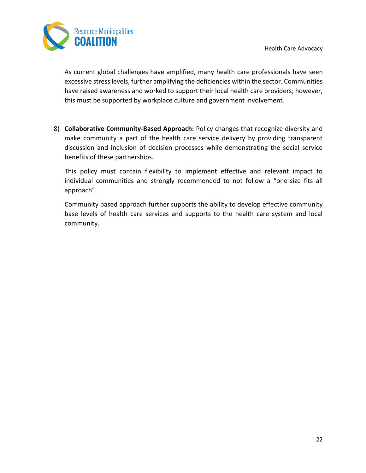

As current global challenges have amplified, many health care professionals have seen excessive stress levels, further amplifying the deficiencies within the sector. Communities have raised awareness and worked to support their local health care providers; however, this must be supported by workplace culture and government involvement.

8) **Collaborative Community-Based Approach:** Policy changes that recognize diversity and make community a part of the health care service delivery by providing transparent discussion and inclusion of decision processes while demonstrating the social service benefits of these partnerships.

This policy must contain flexibility to implement effective and relevant impact to individual communities and strongly recommended to not follow a "one-size fits all approach".

Community based approach further supports the ability to develop effective community base levels of health care services and supports to the health care system and local community.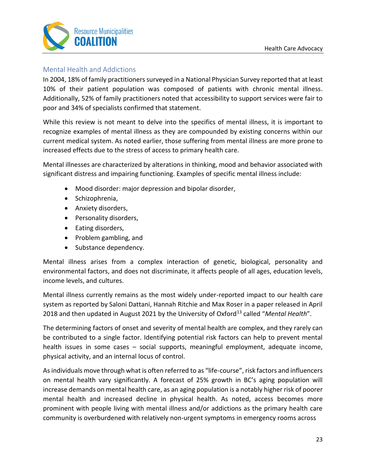

# <span id="page-22-0"></span>Mental Health and Addictions

In 2004, 18% of family practitioners surveyed in a National Physician Survey reported that at least 10% of their patient population was composed of patients with chronic mental illness. Additionally, 52% of family practitioners noted that accessibility to support services were fair to poor and 34% of specialists confirmed that statement.

While this review is not meant to delve into the specifics of mental illness, it is important to recognize examples of mental illness as they are compounded by existing concerns within our current medical system. As noted earlier, those suffering from mental illness are more prone to increased effects due to the stress of access to primary health care.

Mental illnesses are characterized by alterations in thinking, mood and behavior associated with significant distress and impairing functioning. Examples of specific mental illness include:

- Mood disorder: major depression and bipolar disorder,
- Schizophrenia,
- Anxiety disorders,
- Personality disorders,
- Eating disorders,
- Problem gambling, and
- Substance dependency.

Mental illness arises from a complex interaction of genetic, biological, personality and environmental factors, and does not discriminate, it affects people of all ages, education levels, income levels, and cultures.

Mental illness currently remains as the most widely under-reported impact to our health care system as reported by Saloni Dattani, Hannah Ritchie and Max Roser in a paper released in April 2018 and then updated in August 2021 by the University of Oxford<sup>13</sup> called "*Mental Health*".

The determining factors of onset and severity of mental health are complex, and they rarely can be contributed to a single factor. Identifying potential risk factors can help to prevent mental health issues in some cases – social supports, meaningful employment, adequate income, physical activity, and an internal locus of control.

As individuals move through what is often referred to as "life-course", risk factors and influencers on mental health vary significantly. A forecast of 25% growth in BC's aging population will increase demands on mental health care, as an aging population is a notably higher risk of poorer mental health and increased decline in physical health. As noted, access becomes more prominent with people living with mental illness and/or addictions as the primary health care community is overburdened with relatively non-urgent symptoms in emergency rooms across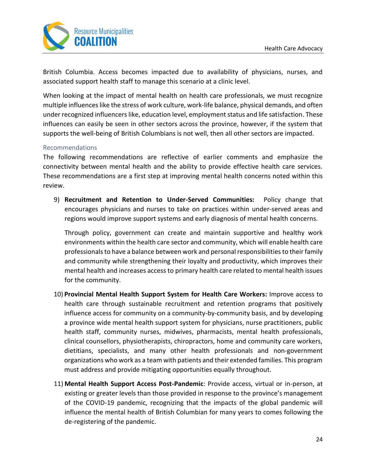

British Columbia. Access becomes impacted due to availability of physicians, nurses, and associated support health staff to manage this scenario at a clinic level.

When looking at the impact of mental health on health care professionals, we must recognize multiple influences like the stress of work culture, work-life balance, physical demands, and often under recognized influencers like, education level, employment status and life satisfaction. These influences can easily be seen in other sectors across the province, however, if the system that supports the well-being of British Columbians is not well, then all other sectors are impacted.

#### <span id="page-23-0"></span>Recommendations

The following recommendations are reflective of earlier comments and emphasize the connectivity between mental health and the ability to provide effective health care services. These recommendations are a first step at improving mental health concerns noted within this review.

9) **Recruitment and Retention to Under-Served Communities:** Policy change that encourages physicians and nurses to take on practices within under-served areas and regions would improve support systems and early diagnosis of mental health concerns.

Through policy, government can create and maintain supportive and healthy work environments within the health care sector and community, which will enable health care professionals to have a balance between work and personal responsibilities to their family and community while strengthening their loyalty and productivity, which improves their mental health and increases access to primary health care related to mental health issues for the community.

- 10) **Provincial Mental Health Support System for Health Care Workers:** Improve access to health care through sustainable recruitment and retention programs that positively influence access for community on a community-by-community basis, and by developing a province wide mental health support system for physicians, nurse practitioners, public health staff, community nurses, midwives, pharmacists, mental health professionals, clinical counsellors, physiotherapists, chiropractors, home and community care workers, dietitians, specialists, and many other health professionals and non-government organizations who work as a team with patients and their extended families. This program must address and provide mitigating opportunities equally throughout.
- 11) **Mental Health Support Access Post-Pandemic**: Provide access, virtual or in-person, at existing or greater levels than those provided in response to the province's management of the COVID-19 pandemic, recognizing that the impacts of the global pandemic will influence the mental health of British Columbian for many years to comes following the de-registering of the pandemic.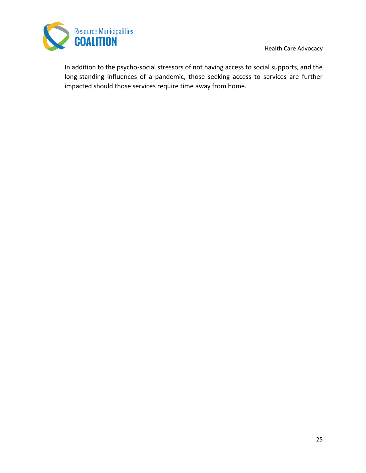

In addition to the psycho-social stressors of not having access to social supports, and the long-standing influences of a pandemic, those seeking access to services are further impacted should those services require time away from home.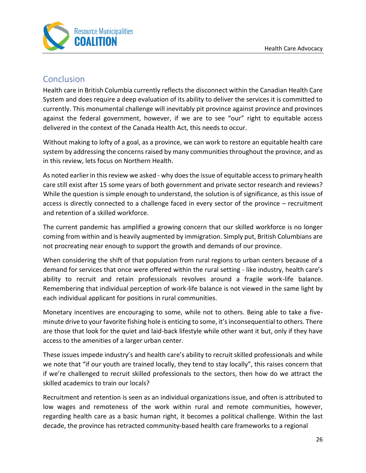

# <span id="page-25-0"></span>Conclusion

Health care in British Columbia currently reflects the disconnect within the Canadian Health Care System and does require a deep evaluation of its ability to deliver the services it is committed to currently. This monumental challenge will inevitably pit province against province and provinces against the federal government, however, if we are to see "our" right to equitable access delivered in the context of the Canada Health Act, this needs to occur.

Without making to lofty of a goal, as a province, we can work to restore an equitable health care system by addressing the concerns raised by many communities throughout the province, and as in this review, lets focus on Northern Health.

As noted earlier in this review we asked - why does the issue of equitable access to primary health care still exist after 15 some years of both government and private sector research and reviews? While the question is simple enough to understand, the solution is of significance, as this issue of access is directly connected to a challenge faced in every sector of the province – recruitment and retention of a skilled workforce.

The current pandemic has amplified a growing concern that our skilled workforce is no longer coming from within and is heavily augmented by immigration. Simply put, British Columbians are not procreating near enough to support the growth and demands of our province.

When considering the shift of that population from rural regions to urban centers because of a demand for services that once were offered within the rural setting - like industry, health care's ability to recruit and retain professionals revolves around a fragile work-life balance. Remembering that individual perception of work-life balance is not viewed in the same light by each individual applicant for positions in rural communities.

Monetary incentives are encouraging to some, while not to others. Being able to take a fiveminute drive to your favorite fishing hole is enticing to some, it's inconsequential to others. There are those that look for the quiet and laid-back lifestyle while other want it but, only if they have access to the amenities of a larger urban center.

These issues impede industry's and health care's ability to recruit skilled professionals and while we note that "if our youth are trained locally, they tend to stay locally", this raises concern that if we're challenged to recruit skilled professionals to the sectors, then how do we attract the skilled academics to train our locals?

Recruitment and retention is seen as an individual organizations issue, and often is attributed to low wages and remoteness of the work within rural and remote communities, however, regarding health care as a basic human right, it becomes a political challenge. Within the last decade, the province has retracted community-based health care frameworks to a regional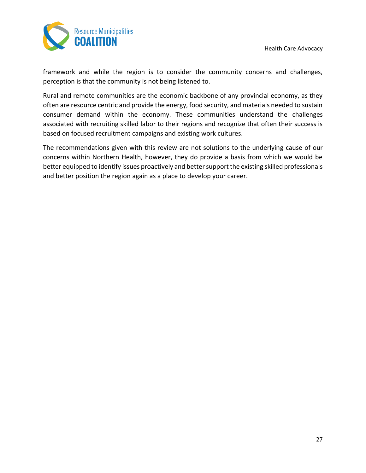

framework and while the region is to consider the community concerns and challenges, perception is that the community is not being listened to.

Rural and remote communities are the economic backbone of any provincial economy, as they often are resource centric and provide the energy, food security, and materials needed to sustain consumer demand within the economy. These communities understand the challenges associated with recruiting skilled labor to their regions and recognize that often their success is based on focused recruitment campaigns and existing work cultures.

The recommendations given with this review are not solutions to the underlying cause of our concerns within Northern Health, however, they do provide a basis from which we would be better equipped to identify issues proactively and better support the existing skilled professionals and better position the region again as a place to develop your career.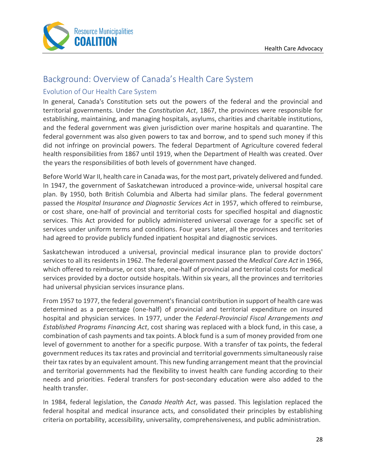

# <span id="page-27-0"></span>Background: Overview of Canada's Health Care System

# <span id="page-27-1"></span>Evolution of Our Health Care System

In general, Canada's Constitution sets out the powers of the federal and the provincial and territorial governments. Under the *Constitution Act*, 1867, the provinces were responsible for establishing, maintaining, and managing hospitals, asylums, charities and charitable institutions, and the federal government was given jurisdiction over marine hospitals and quarantine. The federal government was also given powers to tax and borrow, and to spend such money if this did not infringe on provincial powers. The federal Department of Agriculture covered federal health responsibilities from 1867 until 1919, when the Department of Health was created. Over the years the responsibilities of both levels of government have changed.

Before World War II, health care in Canada was, for the most part, privately delivered and funded. In 1947, the government of Saskatchewan introduced a province-wide, universal hospital care plan. By 1950, both British Columbia and Alberta had similar plans. The federal government passed the *Hospital Insurance and Diagnostic Services Act* in 1957, which offered to reimburse, or cost share, one-half of provincial and territorial costs for specified hospital and diagnostic services. This Act provided for publicly administered universal coverage for a specific set of services under uniform terms and conditions. Four years later, all the provinces and territories had agreed to provide publicly funded inpatient hospital and diagnostic services.

Saskatchewan introduced a universal, provincial medical insurance plan to provide doctors' services to all its residents in 1962. The federal government passed the *Medical Care Act* in 1966, which offered to reimburse, or cost share, one-half of provincial and territorial costs for medical services provided by a doctor outside hospitals. Within six years, all the provinces and territories had universal physician services insurance plans.

From 1957 to 1977, the federal government's financial contribution in support of health care was determined as a percentage (one-half) of provincial and territorial expenditure on insured hospital and physician services. In 1977, under the *Federal-Provincial Fiscal Arrangements and Established Programs Financing Act*, cost sharing was replaced with a block fund, in this case, a combination of cash payments and tax points. A block fund is a sum of money provided from one level of government to another for a specific purpose. With a transfer of tax points, the federal government reduces its tax rates and provincial and territorial governments simultaneously raise their tax rates by an equivalent amount. This new funding arrangement meant that the provincial and territorial governments had the flexibility to invest health care funding according to their needs and priorities. Federal transfers for post-secondary education were also added to the health transfer.

In 1984, federal legislation, the *Canada Health Act*, was passed. This legislation replaced the federal hospital and medical insurance acts, and consolidated their principles by establishing criteria on portability, accessibility, universality, comprehensiveness, and public administration.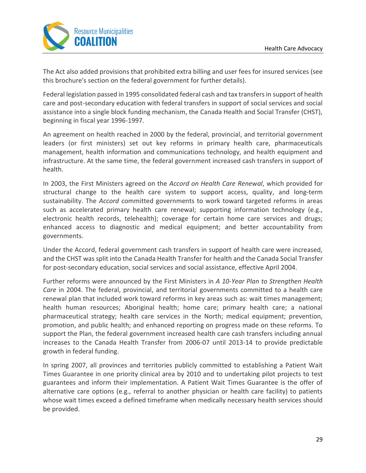

The Act also added provisions that prohibited extra billing and user fees for insured services (see this brochure's section on the federal government for further details).

Federal legislation passed in 1995 consolidated federal cash and tax transfers in support of health care and post-secondary education with federal transfers in support of social services and social assistance into a single block funding mechanism, the Canada Health and Social Transfer (CHST), beginning in fiscal year 1996-1997.

An agreement on health reached in 2000 by the federal, provincial, and territorial government leaders (or first ministers) set out key reforms in primary health care, pharmaceuticals management, health information and communications technology, and health equipment and infrastructure. At the same time, the federal government increased cash transfers in support of health.

In 2003, the First Ministers agreed on the *Accord on Health Care Renewal*, which provided for structural change to the health care system to support access, quality, and long-term sustainability. The *Accord* committed governments to work toward targeted reforms in areas such as accelerated primary health care renewal; supporting information technology (e.g., electronic health records, telehealth); coverage for certain home care services and drugs; enhanced access to diagnostic and medical equipment; and better accountability from governments.

Under the Accord, federal government cash transfers in support of health care were increased, and the CHST was split into the Canada Health Transfer for health and the Canada Social Transfer for post-secondary education, social services and social assistance, effective April 2004.

Further reforms were announced by the First Ministers in *A 10-Year Plan to Strengthen Health Care* in 2004. The federal, provincial, and territorial governments committed to a health care renewal plan that included work toward reforms in key areas such as: wait times management; health human resources; Aboriginal health; home care; primary health care; a national pharmaceutical strategy; health care services in the North; medical equipment; prevention, promotion, and public health; and enhanced reporting on progress made on these reforms. To support the Plan, the federal government increased health care cash transfers including annual increases to the Canada Health Transfer from 2006-07 until 2013-14 to provide predictable growth in federal funding.

In spring 2007, all provinces and territories publicly committed to establishing a Patient Wait Times Guarantee in one priority clinical area by 2010 and to undertaking pilot projects to test guarantees and inform their implementation. A Patient Wait Times Guarantee is the offer of alternative care options (e.g., referral to another physician or health care facility) to patients whose wait times exceed a defined timeframe when medically necessary health services should be provided.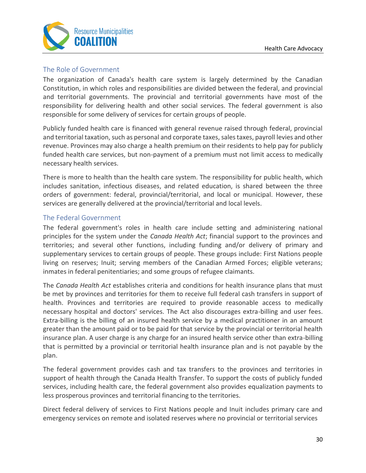

# <span id="page-29-0"></span>The Role of Government

The organization of Canada's health care system is largely determined by the Canadian Constitution, in which roles and responsibilities are divided between the federal, and provincial and territorial governments. The provincial and territorial governments have most of the responsibility for delivering health and other social services. The federal government is also responsible for some delivery of services for certain groups of people.

Publicly funded health care is financed with general revenue raised through federal, provincial and territorial taxation, such as personal and corporate taxes, sales taxes, payroll levies and other revenue. Provinces may also charge a health premium on their residents to help pay for publicly funded health care services, but non-payment of a premium must not limit access to medically necessary health services.

There is more to health than the health care system. The responsibility for public health, which includes sanitation, infectious diseases, and related education, is shared between the three orders of government: federal, provincial/territorial, and local or municipal. However, these services are generally delivered at the provincial/territorial and local levels.

# <span id="page-29-1"></span>The Federal Government

The federal government's roles in health care include setting and administering national principles for the system under the *Canada Health Act*; financial support to the provinces and territories; and several other functions, including funding and/or delivery of primary and supplementary services to certain groups of people. These groups include: First Nations people living on reserves; Inuit; serving members of the Canadian Armed Forces; eligible veterans; inmates in federal penitentiaries; and some groups of refugee claimants.

The *Canada Health Act* establishes criteria and conditions for health insurance plans that must be met by provinces and territories for them to receive full federal cash transfers in support of health. Provinces and territories are required to provide reasonable access to medically necessary hospital and doctors' services. The Act also discourages extra-billing and user fees. Extra-billing is the billing of an insured health service by a medical practitioner in an amount greater than the amount paid or to be paid for that service by the provincial or territorial health insurance plan. A user charge is any charge for an insured health service other than extra-billing that is permitted by a provincial or territorial health insurance plan and is not payable by the plan.

The federal government provides cash and tax transfers to the provinces and territories in support of health through the Canada Health Transfer. To support the costs of publicly funded services, including health care, the federal government also provides equalization payments to less prosperous provinces and territorial financing to the territories.

Direct federal delivery of services to First Nations people and Inuit includes primary care and emergency services on remote and isolated reserves where no provincial or territorial services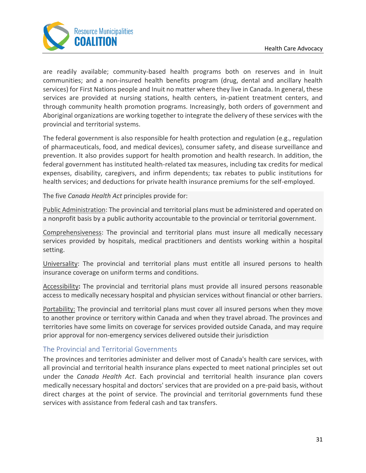

are readily available; community-based health programs both on reserves and in Inuit communities; and a non-insured health benefits program (drug, dental and ancillary health services) for First Nations people and Inuit no matter where they live in Canada. In general, these services are provided at nursing stations, health centers, in-patient treatment centers, and through community health promotion programs. Increasingly, both orders of government and Aboriginal organizations are working together to integrate the delivery of these services with the provincial and territorial systems.

The federal government is also responsible for health protection and regulation (e.g., regulation of pharmaceuticals, food, and medical devices), consumer safety, and disease surveillance and prevention. It also provides support for health promotion and health research. In addition, the federal government has instituted health-related tax measures, including tax credits for medical expenses, disability, caregivers, and infirm dependents; tax rebates to public institutions for health services; and deductions for private health insurance premiums for the self-employed.

The five *Canada Health Act* principles provide for:

Public Administration: The provincial and territorial plans must be administered and operated on a nonprofit basis by a public authority accountable to the provincial or territorial government.

Comprehensiveness: The provincial and territorial plans must insure all medically necessary services provided by hospitals, medical practitioners and dentists working within a hospital setting.

Universality: The provincial and territorial plans must entitle all insured persons to health insurance coverage on uniform terms and conditions.

Accessibility**:** The provincial and territorial plans must provide all insured persons reasonable access to medically necessary hospital and physician services without financial or other barriers.

Portability: The provincial and territorial plans must cover all insured persons when they move to another province or territory within Canada and when they travel abroad. The provinces and territories have some limits on coverage for services provided outside Canada, and may require prior approval for non-emergency services delivered outside their jurisdiction

## <span id="page-30-0"></span>The Provincial and Territorial Governments

The provinces and territories administer and deliver most of Canada's health care services, with all provincial and territorial health insurance plans expected to meet national principles set out under the *Canada Health Act*. Each provincial and territorial health insurance plan covers medically necessary hospital and doctors' services that are provided on a pre-paid basis, without direct charges at the point of service. The provincial and territorial governments fund these services with assistance from federal cash and tax transfers.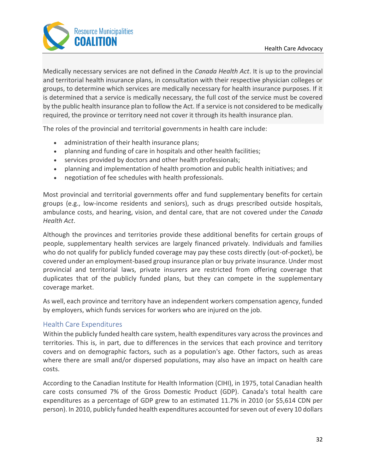

Medically necessary services are not defined in the *Canada Health Act*. It is up to the provincial and territorial health insurance plans, in consultation with their respective physician colleges or groups, to determine which services are medically necessary for health insurance purposes. If it is determined that a service is medically necessary, the full cost of the service must be covered by the public health insurance plan to follow the Act. If a service is not considered to be medically required, the province or territory need not cover it through its health insurance plan.

The roles of the provincial and territorial governments in health care include:

- administration of their health insurance plans;
- planning and funding of care in hospitals and other health facilities;
- services provided by doctors and other health professionals;
- planning and implementation of health promotion and public health initiatives; and
- negotiation of fee schedules with health professionals.

Most provincial and territorial governments offer and fund supplementary benefits for certain groups (e.g., low-income residents and seniors), such as drugs prescribed outside hospitals, ambulance costs, and hearing, vision, and dental care, that are not covered under the *Canada Health Act*.

Although the provinces and territories provide these additional benefits for certain groups of people, supplementary health services are largely financed privately. Individuals and families who do not qualify for publicly funded coverage may pay these costs directly (out-of-pocket), be covered under an employment-based group insurance plan or buy private insurance. Under most provincial and territorial laws, private insurers are restricted from offering coverage that duplicates that of the publicly funded plans, but they can compete in the supplementary coverage market.

As well, each province and territory have an independent workers compensation agency, funded by employers, which funds services for workers who are injured on the job.

#### <span id="page-31-0"></span>Health Care Expenditures

Within the publicly funded health care system, health expenditures vary across the provinces and territories. This is, in part, due to differences in the services that each province and territory covers and on demographic factors, such as a population's age. Other factors, such as areas where there are small and/or dispersed populations, may also have an impact on health care costs.

According to the Canadian Institute for Health Information (CIHI), in 1975, total Canadian health care costs consumed 7% of the Gross Domestic Product (GDP). Canada's total health care expenditures as a percentage of GDP grew to an estimated 11.7% in 2010 (or \$5,614 CDN per person). In 2010, publicly funded health expenditures accounted for seven out of every 10 dollars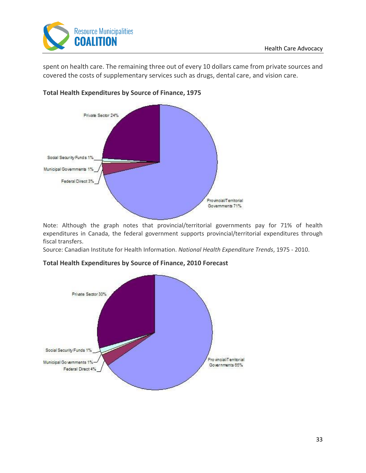

spent on health care. The remaining three out of every 10 dollars came from private sources and covered the costs of supplementary services such as drugs, dental care, and vision care.



## **Total Health Expenditures by Source of Finance, 1975**

Note: Although the graph notes that provincial/territorial governments pay for 71% of health expenditures in Canada, the federal government supports provincial/territorial expenditures through fiscal transfers.

Source: Canadian Institute for Health Information. *National Health Expenditure Trends*, 1975 - 2010.

#### **Total Health Expenditures by Source of Finance, 2010 Forecast**

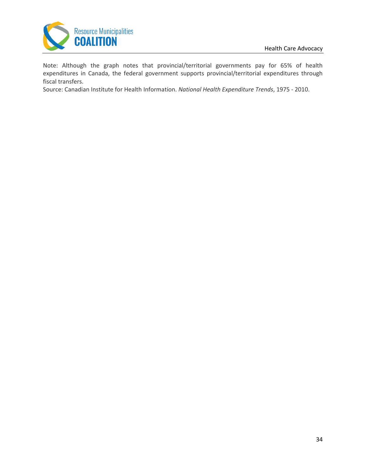

Note: Although the graph notes that provincial/territorial governments pay for 65% of health expenditures in Canada, the federal government supports provincial/territorial expenditures through fiscal transfers.

Source: Canadian Institute for Health Information. *National Health Expenditure Trends*, 1975 - 2010.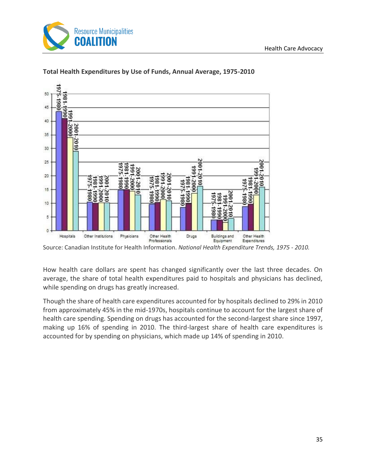



#### **Total Health Expenditures by Use of Funds, Annual Average, 1975-2010**

Source: Canadian Institute for Health Information. *National Health Expenditure Trends, 1975 - 2010.*

How health care dollars are spent has changed significantly over the last three decades. On average, the share of total health expenditures paid to hospitals and physicians has declined, while spending on drugs has greatly increased.

Though the share of health care expenditures accounted for by hospitals declined to 29% in 2010 from approximately 45% in the mid-1970s, hospitals continue to account for the largest share of health care spending. Spending on drugs has accounted for the second-largest share since 1997, making up 16% of spending in 2010. The third-largest share of health care expenditures is accounted for by spending on physicians, which made up 14% of spending in 2010.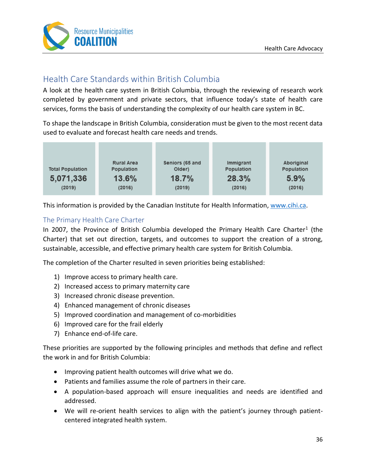

# <span id="page-35-0"></span>Health Care Standards within British Columbia

A look at the health care system in British Columbia, through the reviewing of research work completed by government and private sectors, that influence today's state of health care services, forms the basis of understanding the complexity of our health care system in BC.

To shape the landscape in British Columbia, consideration must be given to the most recent data used to evaluate and forecast health care needs and trends.



This information is provided by the Canadian Institute for Health Information, [www.cihi.ca.](http://www.cihi.ca/)

# <span id="page-35-1"></span>The Primary Health Care Charter

In 2007, the Province of British Columbia developed the Primary Health Care Charter<sup>1</sup> (the Charter) that set out direction, targets, and outcomes to support the creation of a strong, sustainable, accessible, and effective primary health care system for British Columbia.

The completion of the Charter resulted in seven priorities being established:

- 1) Improve access to primary health care.
- 2) Increased access to primary maternity care
- 3) Increased chronic disease prevention.
- 4) Enhanced management of chronic diseases
- 5) Improved coordination and management of co-morbidities
- 6) Improved care for the frail elderly
- 7) Enhance end-of-life care.

These priorities are supported by the following principles and methods that define and reflect the work in and for British Columbia:

- Improving patient health outcomes will drive what we do.
- Patients and families assume the role of partners in their care.
- A population-based approach will ensure inequalities and needs are identified and addressed.
- We will re-orient health services to align with the patient's journey through patientcentered integrated health system.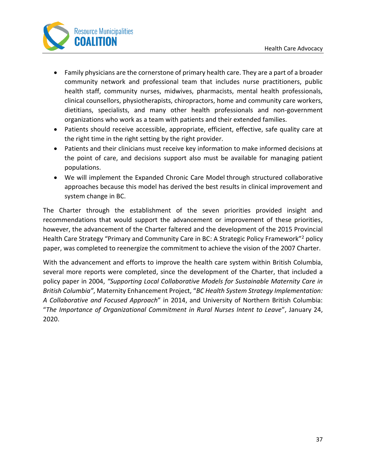

- Family physicians are the cornerstone of primary health care. They are a part of a broader community network and professional team that includes nurse practitioners, public health staff, community nurses, midwives, pharmacists, mental health professionals, clinical counsellors, physiotherapists, chiropractors, home and community care workers, dietitians, specialists, and many other health professionals and non-government organizations who work as a team with patients and their extended families.
- Patients should receive accessible, appropriate, efficient, effective, safe quality care at the right time in the right setting by the right provider.
- Patients and their clinicians must receive key information to make informed decisions at the point of care, and decisions support also must be available for managing patient populations.
- We will implement the Expanded Chronic Care Model through structured collaborative approaches because this model has derived the best results in clinical improvement and system change in BC.

The Charter through the establishment of the seven priorities provided insight and recommendations that would support the advancement or improvement of these priorities, however, the advancement of the Charter faltered and the development of the 2015 Provincial Health Care Strategy "Primary and Community Care in BC: A Strategic Policy Framework"<sup>2</sup> policy paper, was completed to reenergize the commitment to achieve the vision of the 2007 Charter.

With the advancement and efforts to improve the health care system within British Columbia, several more reports were completed, since the development of the Charter, that included a policy paper in 2004, *"Supporting Local Collaborative Models for Sustainable Maternity Care in British Columbia"*, Maternity Enhancement Project, "*BC Health System Strategy Implementation: A Collaborative and Focused Approach*" in 2014, and University of Northern British Columbia: "*The Importance of Organizational Commitment in Rural Nurses Intent to Leave*", January 24, 2020.